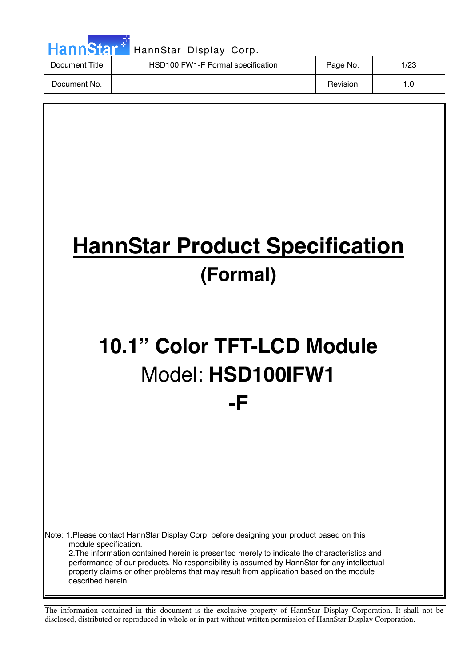| HannStar <sup>*</sup> | HannStar Display Corp.            |          |      |
|-----------------------|-----------------------------------|----------|------|
| Document Title        | HSD100IFW1-F Formal specification | Page No. | 1/23 |
| Document No.          |                                   | Revision | 1.0  |

 $\overline{\phantom{a}}$ 

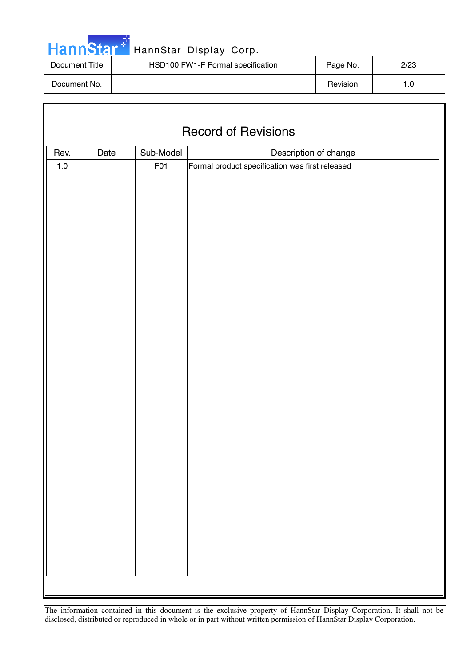|  | <b>HannStar</b> |  |
|--|-----------------|--|
|  |                 |  |

F

## HannStar Display Corp.

| Document Title | HSD100IFW1-F Formal specification | Page No. | 2/23 |
|----------------|-----------------------------------|----------|------|
| Document No.   |                                   | Revision | 1.0  |

| <b>Record of Revisions</b> |                                            |     |                                                 |  |  |
|----------------------------|--------------------------------------------|-----|-------------------------------------------------|--|--|
| Rev.                       | Sub-Model<br>Description of change<br>Date |     |                                                 |  |  |
| $1.0\,$                    |                                            | F01 | Formal product specification was first released |  |  |
|                            |                                            |     |                                                 |  |  |
|                            |                                            |     |                                                 |  |  |
|                            |                                            |     |                                                 |  |  |
|                            |                                            |     |                                                 |  |  |
|                            |                                            |     |                                                 |  |  |
|                            |                                            |     |                                                 |  |  |
|                            |                                            |     |                                                 |  |  |
|                            |                                            |     |                                                 |  |  |
|                            |                                            |     |                                                 |  |  |
|                            |                                            |     |                                                 |  |  |
|                            |                                            |     |                                                 |  |  |
|                            |                                            |     |                                                 |  |  |
|                            |                                            |     |                                                 |  |  |
|                            |                                            |     |                                                 |  |  |
|                            |                                            |     |                                                 |  |  |
|                            |                                            |     |                                                 |  |  |
|                            |                                            |     |                                                 |  |  |
|                            |                                            |     |                                                 |  |  |
|                            |                                            |     |                                                 |  |  |
|                            |                                            |     |                                                 |  |  |
|                            |                                            |     |                                                 |  |  |
|                            |                                            |     |                                                 |  |  |
|                            |                                            |     |                                                 |  |  |
|                            |                                            |     |                                                 |  |  |
|                            |                                            |     |                                                 |  |  |
|                            |                                            |     |                                                 |  |  |
|                            |                                            |     |                                                 |  |  |
|                            |                                            |     |                                                 |  |  |
|                            |                                            |     |                                                 |  |  |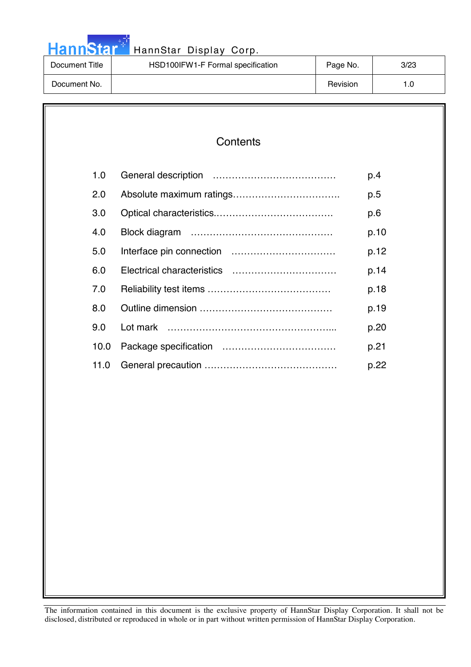| <b>HannStar</b> |  |
|-----------------|--|
|                 |  |

| Document Title | HSD100IFW1-F Formal specification | Page No. | 3/23 |
|----------------|-----------------------------------|----------|------|
| Document No.   |                                   | Revision |      |

| 1.0  | p.4  |
|------|------|
| 2.0  | p.5  |
| 3.0  | p.6  |
| 4.0  | p.10 |
| 5.0  | p.12 |
| 6.0  | p.14 |
| 7.0  | p.18 |
| 8.0  | p.19 |
| 9.0  | p.20 |
| 10.0 | p.21 |
| 11.0 | p.22 |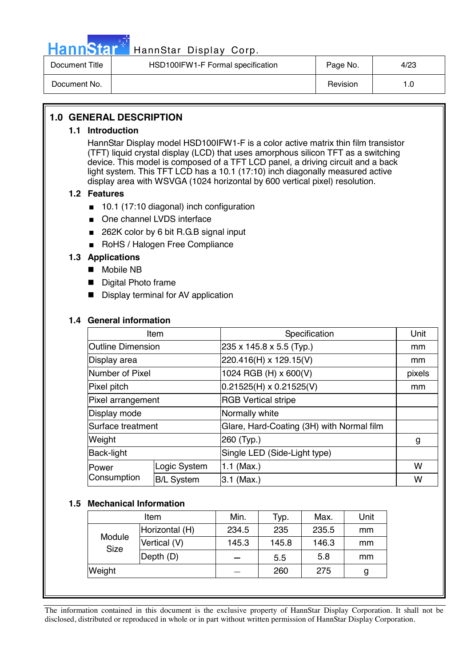

# Hann Star<sup>47</sup> HannStar Display Corp.

| Document Title | HSD100IFW1-F Formal specification | Page No. | 4/23 |
|----------------|-----------------------------------|----------|------|
| Document No.   |                                   | Revision | ı .O |

#### **1.0 GENERAL DESCRIPTION**

#### **1.1 Introduction**

HannStar Display model HSD100IFW1-F is a color active matrix thin film transistor (TFT) liquid crystal display (LCD) that uses amorphous silicon TFT as a switching device. This model is composed of a TFT LCD panel, a driving circuit and a back light system. This TFT LCD has a 10.1 (17:10) inch diagonally measured active display area with WSVGA (1024 horizontal by 600 vertical pixel) resolution.

#### **1.2 Features**

- 10.1 (17:10 diagonal) inch configuration
- One channel LVDS interface
- 262K color by 6 bit R.G.B signal input
- RoHS / Halogen Free Compliance

#### **1.3 Applications**

- Mobile NB
- Digital Photo frame
- Display terminal for AV application

#### **1.4 General information**

| Item                     |                   | Specification                             | Unit   |
|--------------------------|-------------------|-------------------------------------------|--------|
| <b>Outline Dimension</b> |                   | 235 x 145.8 x 5.5 (Typ.)                  | mm     |
| Display area             |                   | 220.416(H) x 129.15(V)                    | mm     |
| Number of Pixel          |                   | 1024 RGB (H) x 600(V)                     | pixels |
| Pixel pitch              |                   | $0.21525(H) \times 0.21525(V)$            | mm     |
| Pixel arrangement        |                   | <b>RGB Vertical stripe</b>                |        |
| Display mode             |                   | Normally white                            |        |
| Surface treatment        |                   | Glare, Hard-Coating (3H) with Normal film |        |
| Weight                   |                   | 260 (Typ.)                                | g      |
| <b>Back-light</b>        |                   | Single LED (Side-Light type)              |        |
| Power                    | Logic System      | 1.1 (Max.)                                | W      |
| Consumption              | <b>B/L System</b> | 3.1 (Max.)                                | W      |

#### **1.5 Mechanical Information**

| Item                  |                | Min.  | Typ.  | Max.  | Unit |
|-----------------------|----------------|-------|-------|-------|------|
|                       | Horizontal (H) | 234.5 | 235   | 235.5 | mm   |
| Module<br><b>Size</b> | Vertical (V)   | 145.3 | 145.8 | 146.3 | mm   |
|                       | Depth (D)      |       | 5.5   | 5.8   | mm   |
| Weight                |                |       | 260   | 275   | g    |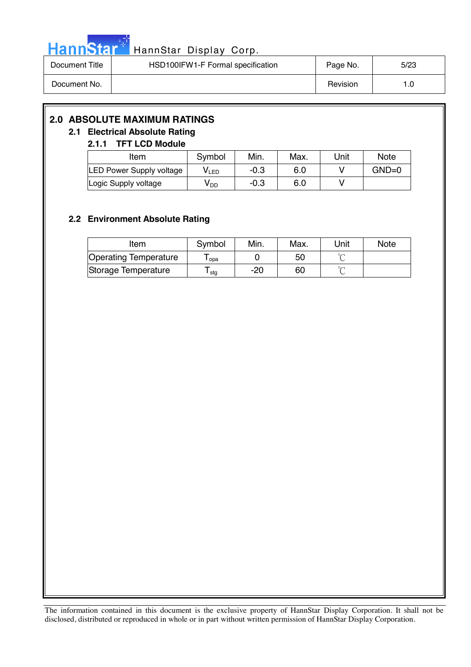

| Document Title | HSD100IFW1-F Formal specification | Page No. | 5/23 |
|----------------|-----------------------------------|----------|------|
| Document No.   |                                   | Revision |      |

#### **2.0 ABSOLUTE MAXIMUM RATINGS**

#### **2.1 Electrical Absolute Rating**

#### **2.1.1 TFT LCD Module**

| Item                            | Symbol | Min.   | Max. | Unit | <b>Note</b> |
|---------------------------------|--------|--------|------|------|-------------|
| <b>LED Power Supply voltage</b> | VLED   | -0.3   | 6.0  |      | $GND=0$     |
| Logic Supply voltage            | V DD   | $-0.3$ | 6.0  |      |             |

#### **2.2 Environment Absolute Rating**

| Item                         | Symbol | Min. | Max. | Unit   | <b>Note</b> |
|------------------------------|--------|------|------|--------|-------------|
| <b>Operating Temperature</b> | opa    |      | 50   |        |             |
| Storage Temperature          | stg    | -20  | 60   | $\sim$ |             |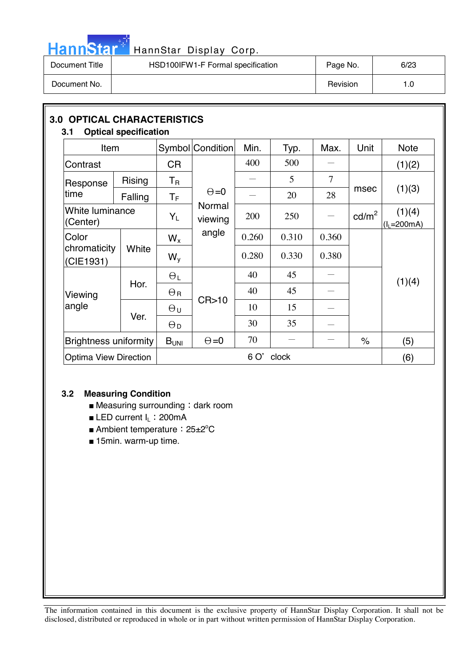

# HannStar<sup>t HannStar Display Corp.</sup>

| Document Title | HSD100IFW1-F Formal specification | Page No. | 6/23 |
|----------------|-----------------------------------|----------|------|
| Document No.   |                                   | Revision | 0. ا |

| 3.1                          | <b>3.0 OPTICAL CHARACTERISTICS</b><br><b>Optical specification</b> |                       |                   |       |       |       |                 |                         |  |
|------------------------------|--------------------------------------------------------------------|-----------------------|-------------------|-------|-------|-------|-----------------|-------------------------|--|
| Item                         |                                                                    |                       | Symbol Condition  | Min.  | Typ.  | Max.  | Unit            | <b>Note</b>             |  |
| Contrast                     |                                                                    | <b>CR</b>             |                   | 400   | 500   |       |                 | (1)(2)                  |  |
| Response                     | <b>Rising</b>                                                      | $T_{\mathsf{R}}$      |                   |       | 5     | 7     |                 |                         |  |
| time                         | Falling                                                            | $T_{\rm F}$           | $\Theta = 0$      |       | 20    | 28    | msec            | (1)(3)                  |  |
| (Center)                     | White luminance                                                    |                       | Normal<br>viewing | 200   | 250   | —     | $\text{cd/m}^2$ | (1)(4)<br>$(I_L=200mA)$ |  |
| Color                        |                                                                    | $W_{x}$               | angle             | 0.260 | 0.310 | 0.360 |                 |                         |  |
| chromaticity<br>(CIE1931)    | White                                                              | $W_{V}$               |                   | 0.280 | 0.330 | 0.380 |                 |                         |  |
|                              |                                                                    | $\Theta_L$            |                   | 40    | 45    |       |                 | (1)(4)                  |  |
| Viewing                      | Hor.                                                               | $\Theta_{\rm R}$      |                   | 40    | 45    |       |                 |                         |  |
| angle                        |                                                                    | $\Theta$ u            | CR > 10           | 10    | 15    |       |                 |                         |  |
|                              | Ver.                                                               | $\Theta_{\mathsf{D}}$ |                   | 30    | 35    |       |                 |                         |  |
| <b>Brightness uniformity</b> |                                                                    | B <sub>UNI</sub>      | $\Theta = 0$      | 70    |       |       | $\%$            | (5)                     |  |
| <b>Optima View Direction</b> |                                                                    |                       | 6 O'<br>clock     |       |       |       |                 |                         |  |

#### **3.2 Measuring Condition**

- $\blacksquare$  Measuring surrounding : dark room
- LED current I<sub>L</sub>: 200mA
- Ambient temperature: 25±2°C
- 15min. warm-up time.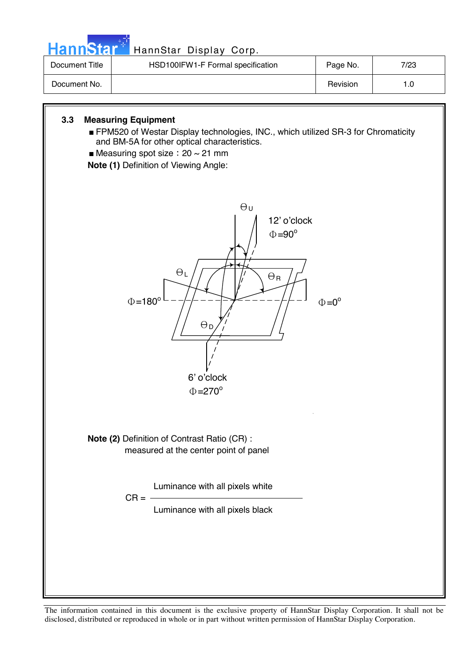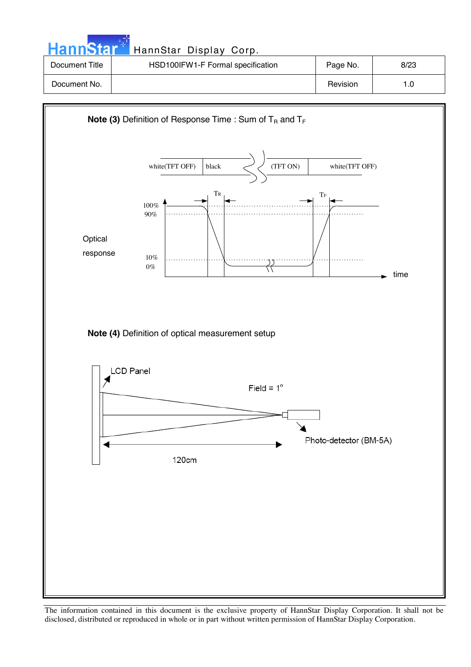| <b>HannStart</b> | HannStar Display Corp.            |          |      |
|------------------|-----------------------------------|----------|------|
| Document Title   | HSD100IFW1-F Formal specification | Page No. | 8/23 |
| Document No.     |                                   | Revision | 1.0  |

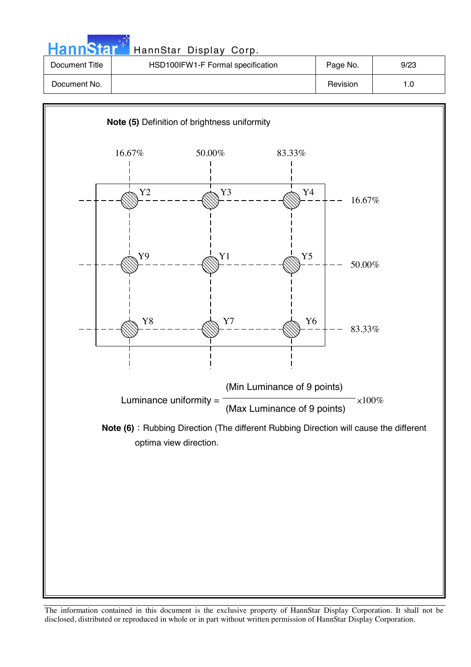| HannStar <sup>+</sup> | HannStar Display Corp.            |          |      |
|-----------------------|-----------------------------------|----------|------|
| Document Title        | HSD100IFW1-F Formal specification | Page No. | 9/23 |
| Document No.          |                                   | Revision | 1.0  |

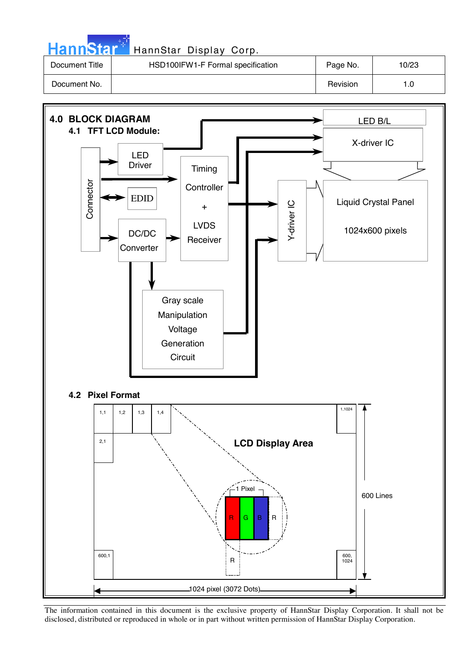| <b>HannStar</b> | HannStar Display Corp.            |          |       |
|-----------------|-----------------------------------|----------|-------|
| Document Title  | HSD100IFW1-F Formal specification | Page No. | 10/23 |
| Document No.    |                                   | Revision | 1.0   |

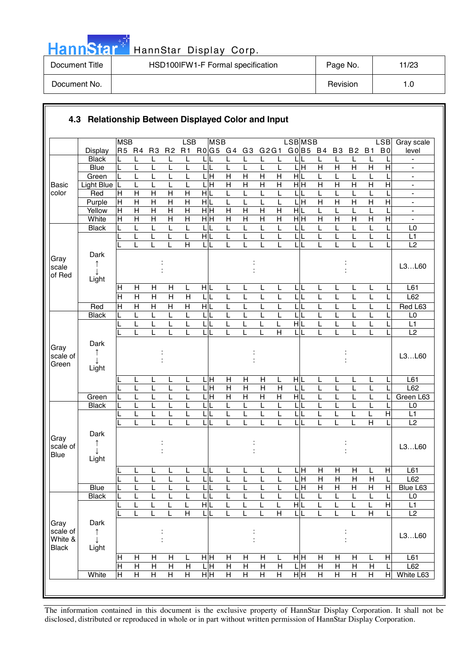|  | ann | Ы |  |
|--|-----|---|--|
|  |     |   |  |

| Document Title | HSD100IFW1-F Formal specification | Page No. | 11/23 |
|----------------|-----------------------------------|----------|-------|
| Document No.   |                                   | Revision | 0. ا  |

|                                             |                    | <b>MSB</b>              |                                |                                |                                | LSB                     | <b>MSB</b>                   |                              |                           |                |                         | <b>LSBMSB</b>             |                     |                     |                     |                | LSB            | Gray scale                                               |
|---------------------------------------------|--------------------|-------------------------|--------------------------------|--------------------------------|--------------------------------|-------------------------|------------------------------|------------------------------|---------------------------|----------------|-------------------------|---------------------------|---------------------|---------------------|---------------------|----------------|----------------|----------------------------------------------------------|
|                                             | <b>Display</b>     | R5 R4                   |                                | R <sub>3</sub>                 | R <sub>2</sub>                 |                         | R1 R0 G5 G4                  |                              | G <sub>3</sub>            | G2G1           |                         | GO B5 B4                  |                     | B <sub>3</sub>      | <b>B2</b>           | <b>B1</b>      | B <sub>0</sub> | level                                                    |
|                                             | <b>Black</b>       |                         |                                | L                              | L                              | L                       |                              | L                            | L                         | L              | L                       | LIL                       |                     | L                   | L                   | L              |                | $\overline{\phantom{a}}$                                 |
|                                             | <b>Blue</b>        | L                       | L                              | L                              | L                              | L                       | LIL                          | L                            | L                         | L              | Г                       | L H                       | $\overline{H}$      | $\overline{H}$      | $\overline{H}$      | $\overline{H}$ | $\overline{H}$ |                                                          |
|                                             | Green              |                         | L                              | L                              |                                |                         | $\overline{\mathbf{H}}$      | $\overline{H}$               | $\overline{H}$            | $\overline{H}$ | $\overline{H}$          | H L                       | L                   | L                   | L                   |                |                | $\frac{1}{2}$                                            |
| <b>Basic</b>                                | <b>Light Blue</b>  | L                       | L                              | L                              |                                | L                       | ГI<br>Н                      | $\overline{H}$               | $\overline{H}$            | Η              | Η                       | $\overline{H}$ H          | H                   | $\mathsf{H}$        | $\overline{H}$      | $\overline{H}$ | $\overline{H}$ | $\blacksquare$                                           |
| color                                       | Red                | Н                       | $\mathsf{H}$<br>$\overline{H}$ | $\mathsf{H}$<br>$\overline{H}$ | $\mathsf{H}$<br>$\overline{H}$ | Н<br>$\overline{H}$     | HIL                          | L                            | L                         | L<br>L         | L                       | L<br>$\frac{1}{\text{H}}$ | L<br>$\overline{H}$ | L<br>$\overline{H}$ | L<br>$\overline{H}$ | $\overline{H}$ | $\overline{H}$ | $\blacksquare$                                           |
|                                             | Purple<br>Yellow   | H<br>$\mathsf{H}$       | $\overline{H}$                 | $\overline{\mathsf{H}}$        | $\overline{\mathsf{H}}$        | $\overline{H}$          | HL<br>нŀн                    | L<br>$\overline{\mathsf{H}}$ | $\overline{H}$            | $\overline{H}$ | L<br>$\overline{H}$     | H L                       | L                   |                     | L                   |                |                | $\qquad \qquad \blacksquare$<br>$\overline{\phantom{a}}$ |
|                                             | White              | $\overline{\mathsf{H}}$ | $\overline{H}$                 | $\overline{H}$                 | $\overline{H}$                 | $\overline{\mathsf{H}}$ | $\frac{}{\mathbf H}$         | $\overline{H}$               | $\overline{H}$            | $\overline{H}$ | $\overline{H}$          | $\overline{H}$ H          | $\overline{H}$      | $\overline{H}$      | $\overline{H}$      | $\overline{H}$ | $\overline{H}$ | ÷,                                                       |
|                                             | <b>Black</b>       |                         |                                | L                              |                                | L                       | L                            | L                            |                           | L              | L                       | L                         |                     |                     | L                   |                |                | L <sub>0</sub>                                           |
|                                             |                    |                         | L                              | L                              | L                              | L                       | HL                           | L                            | L                         | L              | L                       | L                         | L                   | L                   | L                   | L              |                | L1                                                       |
|                                             |                    |                         |                                |                                |                                | $\overline{H}$          | ЦL                           | L                            |                           | L              | L                       | LL                        |                     |                     | L                   | L              |                | L2                                                       |
| Gray<br>scale<br>of Red                     | Dark<br>↑<br>T     |                         |                                |                                |                                |                         |                              |                              |                           |                |                         |                           |                     |                     |                     |                |                | L3L60                                                    |
|                                             | Light              |                         |                                |                                |                                |                         |                              |                              |                           |                |                         |                           |                     |                     |                     |                |                |                                                          |
|                                             |                    | $\mathsf{H}$            | H                              | H                              | H                              | L                       | HL                           | L                            | L                         | L              | L                       | LL                        | L                   | L                   | L                   | L              |                | L <sub>61</sub>                                          |
|                                             |                    | $\overline{\mathsf{H}}$ | $\overline{H}$                 | $\overline{\mathsf{H}}$        | $\overline{\mathsf{H}}$        | $\overline{H}$          | LIL                          | L                            | L                         | L              | L                       | L<br>L                    | L                   | L                   | L                   | L              |                | L62                                                      |
|                                             | Red                | H                       | $\overline{H}$                 | $\overline{H}$                 | $\overline{H}$                 | $\overline{H}$          | $\frac{1}{\sqrt{2}}$         | L                            |                           | L              | L                       | $\overline{L}$            |                     |                     | L                   |                |                | Red L63                                                  |
|                                             | <b>Black</b>       | L                       | L                              | L                              | L                              | L                       | LIL                          | L                            |                           | L              | L                       | LL                        | L                   |                     | L                   | L              |                | L <sub>0</sub>                                           |
|                                             |                    |                         | L<br>L                         | L<br>L                         | L                              | L                       | L<br>IL<br>LL                | L<br>L                       |                           |                | L<br>Η                  | $\overline{H}$<br>L L     | L                   | L                   | L<br>L              | Ĺ<br>L         |                | L1<br>L2                                                 |
| Gray<br>scale of<br>Green                   | Dark<br>↑<br>Light |                         |                                |                                |                                |                         |                              |                              |                           |                |                         |                           |                     |                     |                     |                |                | L3L60                                                    |
|                                             |                    |                         | L                              | L                              |                                | L                       | LЩ                           | H                            | H                         | H              | L                       | HL                        | L                   | L                   | L                   | L              |                | L61                                                      |
|                                             |                    |                         | L                              | L                              | L                              | L                       | LН                           | H                            | $\boldsymbol{\mathsf{H}}$ | $\mathsf{H}$   | H                       | L                         | L                   | L                   | L                   | L              |                | L62                                                      |
|                                             | Green              |                         |                                | L                              |                                |                         | $\overline{\mathbf{H}}$<br>L | $\overline{H}$               | $\overline{H}$            | $\overline{H}$ | $\overline{\mathsf{H}}$ | НL                        |                     |                     | L                   |                |                | Green L63                                                |
|                                             | <b>Black</b>       | L                       |                                | L                              |                                | L                       | LIL                          | L                            |                           | L              | L                       | LL                        | L                   |                     | L                   | L              |                | L <sub>0</sub>                                           |
|                                             |                    |                         | L                              | L                              | L                              |                         | L<br>IL                      | L                            | L                         | L              | L                       | LL                        | L                   |                     | L                   | L              | $\overline{H}$ | L1                                                       |
|                                             |                    |                         | L                              | L                              | L                              | L                       | τL                           | L                            | L                         | L              | L                       | LL                        | L                   | L                   | L                   | $\overline{H}$ |                | L2                                                       |
| Gray<br>scale of<br><b>Blue</b>             | Dark<br>T<br>Light |                         |                                |                                |                                |                         |                              |                              |                           |                |                         |                           |                     |                     |                     |                |                | L3L60                                                    |
|                                             |                    |                         | ┕                              | ┶                              | щ                              |                         | τĮ                           | ш                            |                           | ட              | ┕                       | $\frac{\Gamma}{H}$        | $\overline{H}$      | $\overline{H}$      | H                   |                | H              | L61                                                      |
|                                             |                    | L                       | L                              | L                              | L                              | L                       | LIL                          | L                            | L                         | L              | L                       | ЦH                        | $\mathsf{H}$        | H                   | $\mathsf{H}$        | $\mathsf{H}$   | L              | L62                                                      |
|                                             | <b>Blue</b>        | L                       | L                              | L                              | L                              | L                       | LIL                          | L                            |                           | L              | L                       | L H                       | Η                   | $\overline{H}$      | $\overline{H}$      | Н              | $\mathsf{H}$   | Blue L63                                                 |
|                                             | <b>Black</b>       |                         |                                | L                              |                                |                         | LIL                          | L                            |                           | L              | L                       | LL                        |                     | L                   | L                   |                |                | L0                                                       |
|                                             |                    |                         | L                              | L                              | L                              | L                       | $\frac{1}{\sqrt{2}}$         | L                            |                           | L              | L                       | HĿ                        | L                   |                     | L                   | L              | $\overline{H}$ | L1                                                       |
|                                             |                    |                         | L                              | L                              | L                              | $\overline{\mathsf{H}}$ | LIL                          | L                            |                           |                | $\overline{\mathsf{H}}$ | LL                        |                     |                     | L                   | $\overline{H}$ |                | $\overline{L2}$                                          |
| Gray<br>scale of<br>White &<br><b>Black</b> | Dark<br>↑<br>Light |                         |                                |                                |                                |                         |                              |                              |                           |                |                         |                           |                     |                     |                     |                |                | L3L60                                                    |
|                                             |                    | Н                       | Н                              | H                              | н                              | L                       | нŀн                          | H                            | Н                         | H              | L                       | нŀн                       | Н                   | Н                   | Н                   | L              | H              | L61                                                      |
|                                             |                    | Н                       | $\overline{H}$                 | $\overline{H}$                 | $\overline{H}$                 | $\overline{H}$          | 믘                            | $\overline{H}$               | $\overline{H}$            | $\overline{H}$ | $\overline{H}$          | 믘                         | $\overline{H}$      | $\overline{H}$      | $\overline{H}$      | H              |                | L62                                                      |
|                                             | White              | $\overline{H}$          | H                              | $\overline{H}$                 | $\overline{H}$                 | $\overline{H}$          | H <sub>H</sub>               | $\overline{H}$               | $\overline{H}$            | Н              | $\overline{H}$          | $\overline{H}$            | $\overline{H}$      | H                   | $\overline{H}$      | $\overline{H}$ | H              | White L63                                                |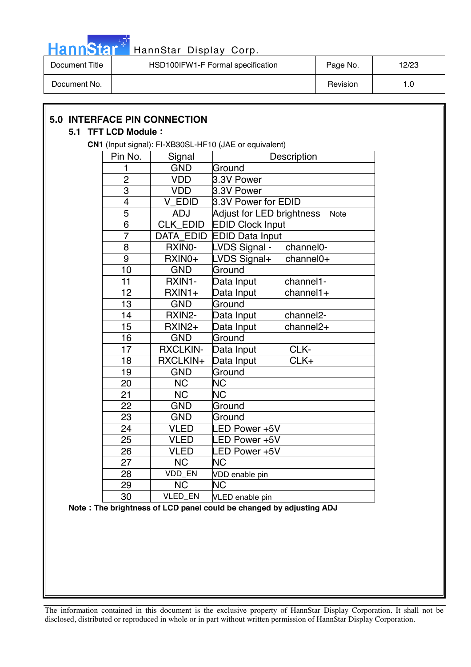

| Document Title | HSD100IFW1-F Formal specification | Page No. | 12/23 |
|----------------|-----------------------------------|----------|-------|
| Document No.   |                                   | Revision | . .0  |

|                         | <b>5.0 INTERFACE PIN CONNECTION</b> |                                                                     |
|-------------------------|-------------------------------------|---------------------------------------------------------------------|
| 5.1 TFT LCD Module:     |                                     |                                                                     |
|                         |                                     | CN1 (Input signal): FI-XB30SL-HF10 (JAE or equivalent)              |
| Pin No.                 | Signal                              | Description                                                         |
| 1                       | <b>GND</b>                          | Ground                                                              |
| $\overline{c}$          | <b>VDD</b>                          | 3.3V Power                                                          |
| 3                       | <b>VDD</b>                          | 3.3V Power                                                          |
| $\overline{\mathbf{4}}$ | V EDID                              | 3.3V Power for EDID                                                 |
| 5                       | <b>ADJ</b>                          | Adjust for LED brightness<br>Note                                   |
| 6                       | CLK_EDID                            | <b>EDID Clock Input</b>                                             |
| $\overline{7}$          | DATA EDID                           | <b>EDID Data Input</b>                                              |
| 8                       | RXINO-                              | LVDS Signal -<br>channel0-                                          |
| $9$                     | RXIN0+                              | LVDS Signal+<br>$channel0+$                                         |
| 10                      | <b>GND</b>                          | Ground                                                              |
| 11                      | RXIN1-                              | Data Input<br>channel1-                                             |
| 12                      | RXIN1+                              | Data Input<br>$channel1+$                                           |
| 13                      | <b>GND</b>                          | Ground                                                              |
| 14                      | RXIN2-                              | channel <sub>2</sub> -<br>Data Input                                |
| 15                      | RXIN2+                              | $channel2+$<br>Data Input                                           |
| 16                      | <b>GND</b>                          | Ground                                                              |
| 17                      | <b>RXCLKIN-</b>                     | CLK-<br>Data Input                                                  |
| 18                      | RXCLKIN+                            | CLK+<br>Data Input                                                  |
| 19                      | <b>GND</b>                          | Ground                                                              |
| 20                      | <b>NC</b>                           | <b>NC</b>                                                           |
| 21                      | <b>NC</b>                           | <b>NC</b>                                                           |
| 22                      | <b>GND</b>                          | Ground                                                              |
| 23                      | <b>GND</b>                          | Ground                                                              |
| 24                      | <b>VLED</b>                         | LED Power +5V                                                       |
| 25                      | <b>VLED</b>                         | ED Power +5V                                                        |
| 26                      | <b>VLED</b>                         | LED Power +5V                                                       |
| 27                      | <b>NC</b>                           | <b>NC</b>                                                           |
| 28                      | VDD_EN                              | VDD enable pin                                                      |
| 29                      | <b>NC</b>                           | ΝC                                                                  |
| 30                      | VLED_EN                             | <b>VLED</b> enable pin                                              |
|                         |                                     | Note: The brightness of LCD panel could be changed by adjusting ADJ |
|                         |                                     |                                                                     |
|                         |                                     |                                                                     |
|                         |                                     |                                                                     |
|                         |                                     |                                                                     |
|                         |                                     |                                                                     |
|                         |                                     |                                                                     |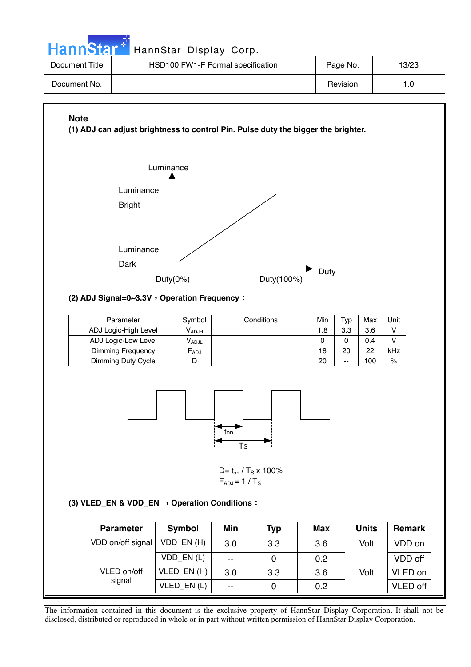| <b>HannStar<sup>®</sup></b> |           | HannStar Display Corp.                                                            |   |          |       |
|-----------------------------|-----------|-----------------------------------------------------------------------------------|---|----------|-------|
| Document Title              |           | HSD100IFW1-F Formal specification                                                 |   | Page No. | 13/23 |
| Document No.                |           |                                                                                   |   | Revision | 1.0   |
| <b>Note</b>                 | Luminance | (1) ADJ can adjust brightness to control Pin. Pulse duty the bigger the brighter. |   |          |       |
|                             | Luminance |                                                                                   | ╭ |          |       |



#### **(2) ADJ Signal=0~3.3V Operation Frequency**

| Parameter            | Symbol     | Conditions | Min | Tvp   | Max | Unit |
|----------------------|------------|------------|-----|-------|-----|------|
| ADJ Logic-High Level | $V_{ADJH}$ |            | 1.8 | 3.3   | 3.6 |      |
| ADJ Logic-Low Level  | Vadjl      |            |     |       | 0.4 |      |
| Dimming Frequency    | $F_{ADJ}$  |            | 18  | 20    | 22  | kHz  |
| Dimming Duty Cycle   |            |            | 20  | $- -$ | 100 | $\%$ |



D=  $t_{on}$  / T<sub>S</sub> x 100%  $F_{ADJ}$  = 1 / T<sub>S</sub>

#### (3) VLED\_EN & VDD\_EN > Operation Conditions :

| <b>Parameter</b>  | Symbol     | Min   | Typ | <b>Max</b> | <b>Units</b> | <b>Remark</b> |
|-------------------|------------|-------|-----|------------|--------------|---------------|
| VDD on/off signal | VDD_EN(H)  | 3.0   | 3.3 | 3.6        | Volt         | VDD on        |
|                   | VDD EN(L)  | $- -$ |     | 0.2        |              | VDD off       |
| VLED on/off       | VLED_EN(H) | 3.0   | 3.3 | 3.6        | Volt         | VLED on       |
| signal            | VLED_EN(L) | $- -$ |     | 0.2        |              | VLED off      |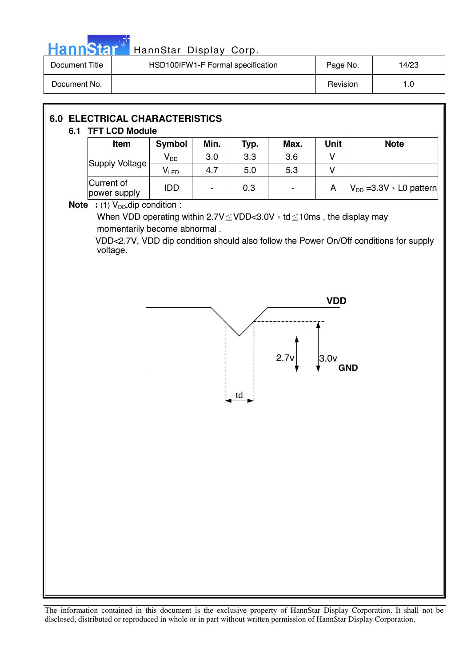

# HannStar<sup>t HannStar</sup> Display Corp.

| Document Title | HSD100IFW1-F Formal specification | Page No. | 14/23 |
|----------------|-----------------------------------|----------|-------|
| Document No.   |                                   | Revision | l .O  |

# **6.0 ELECTRICAL CHARACTERISTICS 6.1 TFT LCD Module**

| U. I        | IFI LUD MUUUIT                                                                      |                            |      |      |                          |             |                                    |
|-------------|-------------------------------------------------------------------------------------|----------------------------|------|------|--------------------------|-------------|------------------------------------|
|             | <b>Item</b>                                                                         | <b>Symbol</b>              | Min. | Typ. | Max.                     | <b>Unit</b> | <b>Note</b>                        |
|             | Supply Voltage                                                                      | $\mathsf{V}_{\mathsf{DD}}$ | 3.0  | 3.3  | 3.6                      | v           |                                    |
|             |                                                                                     | $V_{LED}$                  | 4.7  | 5.0  | 5.3                      | v           |                                    |
|             | Current of<br>power supply                                                          | <b>IDD</b>                 |      | 0.3  | $\overline{\phantom{a}}$ | A           | $ V_{DD}$ =3.3V $\cdot$ L0 pattern |
| <b>Note</b> | : (1) $V_{DD}$ dip condition :                                                      |                            |      |      |                          |             |                                    |
|             | When VDD operating within $2.7V \leq VDD < 3.0V$ , td $\leq 10$ ms, the display may |                            |      |      |                          |             |                                    |
|             | momentarily become abnormal.                                                        |                            |      |      |                          |             |                                    |

VDD<2.7V, VDD dip condition should also follow the Power On/Off conditions for supply voltage.

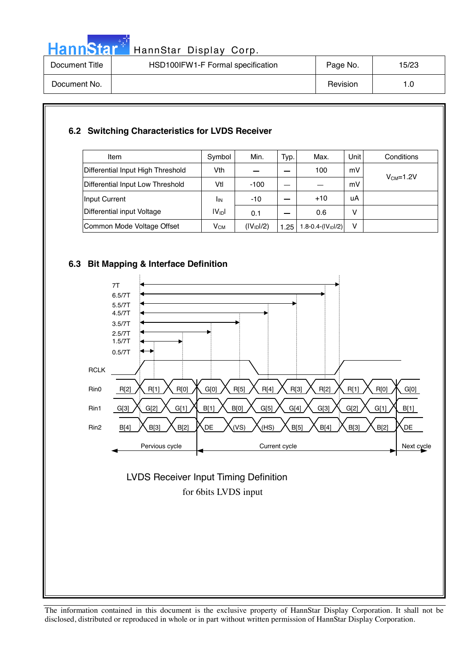

# HannStar<sup>17</sup> HannStar Display Corp.

| Document Title | HSD100IFW1-F Formal specification | Page No. | 15/23 |
|----------------|-----------------------------------|----------|-------|
| Document No.   |                                   | Revision | 1.0   |

#### **6.2 Switching Characteristics for LVDS Receiver**

| Item                              | Symbol          | Min.                   | Typ. | Max.                    | <b>Unit</b> | Conditions |
|-----------------------------------|-----------------|------------------------|------|-------------------------|-------------|------------|
| Differential Input High Threshold | Vth             |                        |      | 100                     | mV          |            |
| Differential Input Low Threshold  | Vtl             | $-100$                 |      |                         | mV          | $VCM=1.2V$ |
| Input Current                     | <sup>I</sup> IN | $-10$                  |      | $+10$                   | uA          |            |
| Differential input Voltage        | $ V_{ID} $      | 0.1                    |      | 0.6                     | v           |            |
| Common Mode Voltage Offset        | $V_{CM}$        | (IV <sub>1D</sub> 1/2) | 1.25 | 1.8-0.4- $(IV_{ID}1/2)$ | v           |            |

#### **6.3 Bit Mapping & Interface Definition**

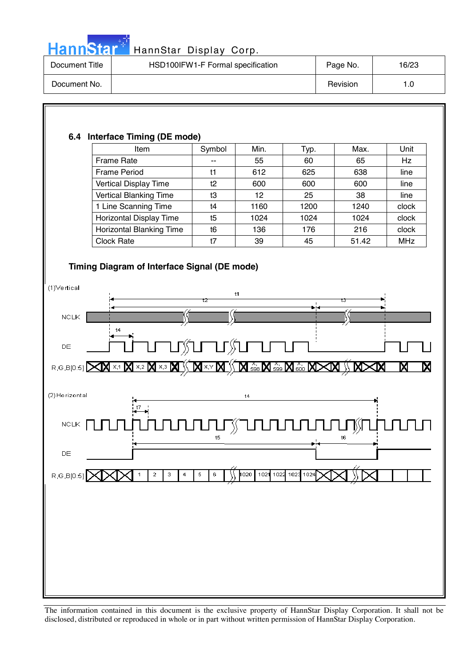

# HannStar<sup>t HannStar Display Corp.</sup>

| Document Title | HSD100IFW1-F Formal specification | Page No. | 16/23 |
|----------------|-----------------------------------|----------|-------|
| Document No.   |                                   | Revision | 1.0   |

| 6.4 Interface Timing (DE mode)<br>Item                                         | Symbol   | Min. | Typ. | Max.  | Unit       |
|--------------------------------------------------------------------------------|----------|------|------|-------|------------|
| Frame Rate                                                                     | --       | 55   | 60   | 65    | Hz         |
| <b>Frame Period</b>                                                            | t1       | 612  | 625  | 638   | line       |
| Vertical Display Time                                                          | t2       | 600  | 600  | 600   | line       |
| Vertical Blanking Time                                                         | t3       | 12   | 25   | 38    | line       |
| 1 Line Scanning Time                                                           | t4       | 1160 | 1200 | 1240  | clock      |
| <b>Horizontal Display Time</b>                                                 | t5       | 1024 | 1024 | 1024  | clock      |
| Horizontal Blanking Time                                                       | t6       | 136  | 176  | 216   | clock      |
| <b>Clock Rate</b>                                                              | t7       | 39   | 45   | 51.42 | <b>MHz</b> |
|                                                                                |          |      |      |       |            |
|                                                                                |          |      |      |       |            |
| t4                                                                             |          |      |      |       |            |
|                                                                                | ĶU—UĶU—U |      |      |       |            |
| ⊠ ≍∞ ⊠ ∞∞ ⊠ ∖<br>R,G,B[0:5]                                                    |          |      |      |       |            |
|                                                                                |          | t4   |      |       |            |
| t7                                                                             |          |      |      |       |            |
|                                                                                |          |      |      |       |            |
|                                                                                | t5       |      |      | t6    |            |
|                                                                                |          |      |      |       |            |
| R,G,B[0:5] XIXI 1   2   3   4   5   6   ))   1020   1021 1023 1024 XIXI ))   X |          |      |      |       |            |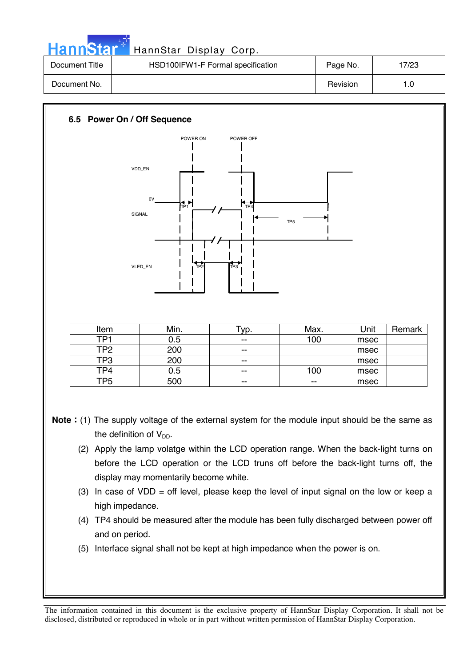|  | HannStar <sup>+</sup> |
|--|-----------------------|
|  |                       |

| Document Title | HSD100IFW1-F Formal specification | Page No. | 7/23 |
|----------------|-----------------------------------|----------|------|
| Document No.   |                                   | Revision | 1.0  |



- **Note**: (1) The supply voltage of the external system for the module input should be the same as the definition of  $V_{DD}$ .
	- (2) Apply the lamp volatge within the LCD operation range. When the back-light turns on before the LCD operation or the LCD truns off before the back-light turns off, the display may momentarily become white.
	- (3) In case of  $VDD =$  off level, please keep the level of input signal on the low or keep a high impedance.
	- (4) TP4 should be measured after the module has been fully discharged between power off and on period.
	- (5) Interface signal shall not be kept at high impedance when the power is on.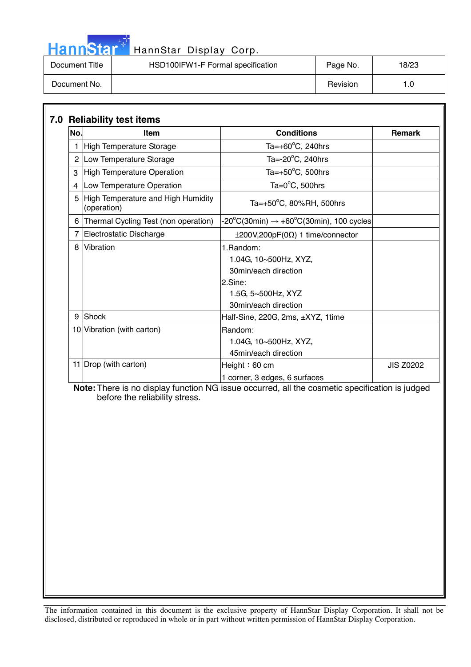| <b>HannStal</b> |
|-----------------|
|-----------------|

| Document Title | HSD100IFW1-F Formal specification | Page No. | 18/23 |
|----------------|-----------------------------------|----------|-------|
| Document No.   |                                   | Revision | 1.0   |

| No. | Item                                              | <b>Conditions</b>                                   | <b>Remark</b>    |
|-----|---------------------------------------------------|-----------------------------------------------------|------------------|
|     | <b>High Temperature Storage</b>                   | Ta= $+60^{\circ}$ C, 240hrs                         |                  |
|     | 2 Low Temperature Storage                         | Ta= $-20^{\circ}$ C, 240hrs                         |                  |
| 3   | High Temperature Operation                        | Ta= $+50^{\circ}$ C, 500hrs                         |                  |
| 4   | Low Temperature Operation                         | Ta= $0^{\circ}$ C, 500hrs                           |                  |
| 5   | High Temperature and High Humidity<br>(operation) | Ta=+50 $^{\circ}$ C, 80%RH, 500hrs                  |                  |
| 6   | Thermal Cycling Test (non operation)              | -20°C(30min) $\rightarrow$ +60°C(30min), 100 cycles |                  |
|     | Electrostatic Discharge                           | $\pm$ 200V,200pF(0 $\Omega$ ) 1 time/connector      |                  |
| 8   | Vibration                                         | 1.Random:                                           |                  |
|     |                                                   | 1.04G, 10~500Hz, XYZ,                               |                  |
|     |                                                   | 30min/each direction                                |                  |
|     |                                                   | 2.Sine:                                             |                  |
|     |                                                   | 1.5G, 5~500Hz, XYZ                                  |                  |
|     |                                                   | 30min/each direction                                |                  |
| 9   | <b>Shock</b>                                      | Half-Sine, 220G, 2ms, ±XYZ, 1time                   |                  |
|     | 10 Vibration (with carton)                        | Random:                                             |                  |
|     |                                                   | 1.04G, 10~500Hz, XYZ,                               |                  |
|     |                                                   | 45min/each direction                                |                  |
|     | 11 Drop (with carton)                             | Height: $60 \text{ cm}$                             | <b>JIS Z0202</b> |
|     |                                                   | 1 corner, 3 edges, 6 surfaces                       |                  |

 **Note:** There is no display function NG issue occurred, all the cosmetic specification is judged before the reliability stress.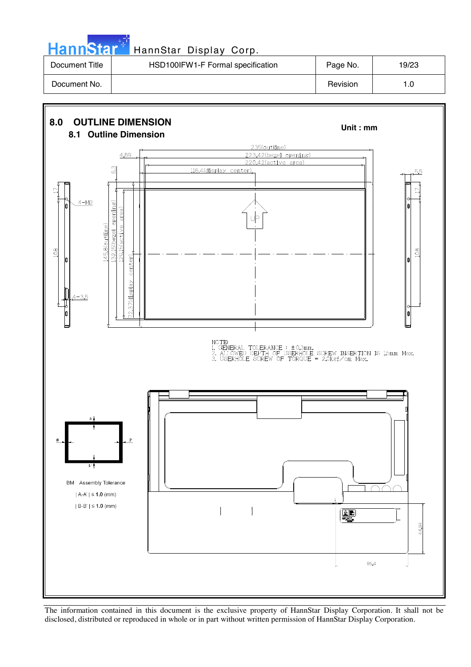# HannStar<sup>#</sup> HannStar Display Corp.

| Document Title | HSD100IFW1-F Formal specification | Page No. | 19/23 |
|----------------|-----------------------------------|----------|-------|
| Document No.   |                                   | Revision | I.C   |

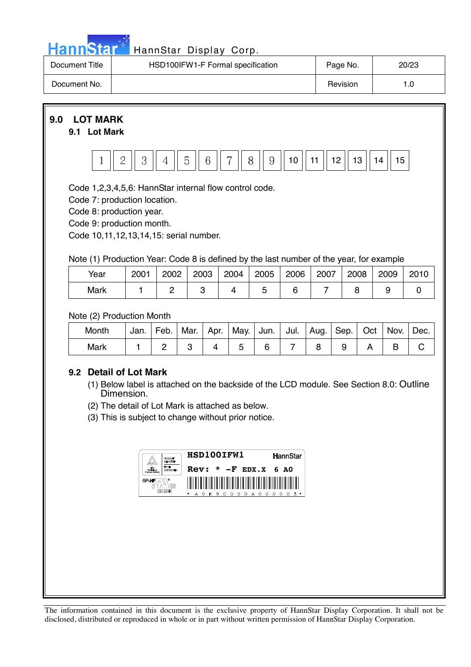|  | ann | Ы |  |
|--|-----|---|--|
|  |     |   |  |

| Document Title | HSD100IFW1-F Formal specification | Page No. | 20/23 |
|----------------|-----------------------------------|----------|-------|
| Document No.   |                                   | Revision |       |



Code 8: production year.

Code 9: production month.

Code 10,11,12,13,14,15: serial number.

Note (1) Production Year: Code 8 is defined by the last number of the year, for example

| Year | 2001 | 2002 | 2003 | 2004 | 2005 | 2006 | 2007 | 2008 | 2009 | 2010 |
|------|------|------|------|------|------|------|------|------|------|------|
| Mark |      |      |      |      |      |      |      |      |      |      |

Note (2) Production Month

| Month | Jan. | Feb. | Mar. | Apr. | May. | Jun. | Jul. | Aug. | Sep. | Oct | Nov. | Dec. |
|-------|------|------|------|------|------|------|------|------|------|-----|------|------|
| Mark  |      |      |      |      |      |      |      |      |      |     |      |      |

#### **9.2 Detail of Lot Mark**

- (1) Below label is attached on the backside of the LCD module. See Section 8.0: Outline Dimension.
- (2) The detail of Lot Mark is attached as below.
- (3) This is subject to change without prior notice.

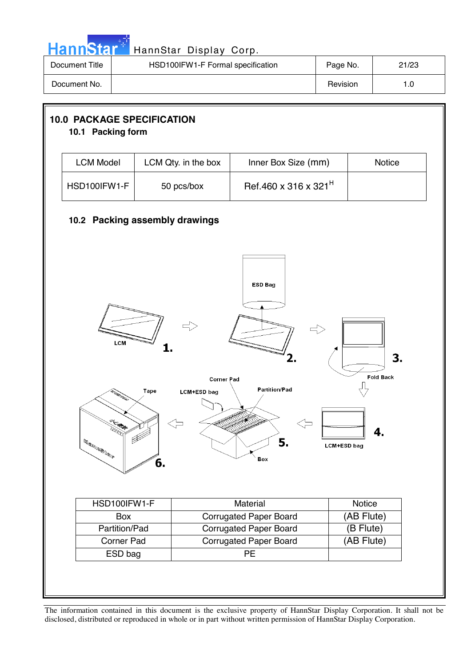| ann |  |
|-----|--|
|     |  |

| Document Title | HSD100IFW1-F Formal specification | Page No. | 21/23 |
|----------------|-----------------------------------|----------|-------|
| Document No.   |                                   | Revision |       |

|                                                                                                                                                                                                                                                                                                                                                                                                                        | 10.1 Packing form              |                                  |                  |  |  |  |  |
|------------------------------------------------------------------------------------------------------------------------------------------------------------------------------------------------------------------------------------------------------------------------------------------------------------------------------------------------------------------------------------------------------------------------|--------------------------------|----------------------------------|------------------|--|--|--|--|
| <b>LCM Model</b>                                                                                                                                                                                                                                                                                                                                                                                                       | LCM Qty. in the box            | Inner Box Size (mm)              | Notice           |  |  |  |  |
| HSD100IFW1-F                                                                                                                                                                                                                                                                                                                                                                                                           | 50 pcs/box                     | Ref.460 x 316 x 321 <sup>H</sup> |                  |  |  |  |  |
|                                                                                                                                                                                                                                                                                                                                                                                                                        | 10.2 Packing assembly drawings |                                  |                  |  |  |  |  |
| <b>ESD Bag</b><br>LCM<br>3.<br><b>Fold Back</b><br><b>Corner Pad</b><br><b>Partition/Pad</b><br>Tape<br><b>LCM+ESD bag</b>                                                                                                                                                                                                                                                                                             |                                |                                  |                  |  |  |  |  |
| $\mathbb{E} \mathbb{E} \mathbb{E} \mathbb{E} \mathbb{E} \mathbb{E} \mathbb{E} \mathbb{E} \mathbb{E} \mathbb{E} \mathbb{E} \mathbb{E} \mathbb{E} \mathbb{E} \mathbb{E} \mathbb{E} \mathbb{E} \mathbb{E} \mathbb{E} \mathbb{E} \mathbb{E} \mathbb{E} \mathbb{E} \mathbb{E} \mathbb{E} \mathbb{E} \mathbb{E} \mathbb{E} \mathbb{E} \mathbb{E} \mathbb{E} \mathbb{E} \mathbb{E} \mathbb{E} \mathbb{E} \mathbb{E} \mathbb{$ | O.                             | 5.<br>Box                        | 4<br>LCM+ESD bag |  |  |  |  |
| HSD100IFW1-F                                                                                                                                                                                                                                                                                                                                                                                                           |                                | <b>Material</b>                  | <b>Notice</b>    |  |  |  |  |
|                                                                                                                                                                                                                                                                                                                                                                                                                        |                                | <b>Corrugated Paper Board</b>    | (AB Flute)       |  |  |  |  |
|                                                                                                                                                                                                                                                                                                                                                                                                                        |                                | <b>Corrugated Paper Board</b>    | (B Flute)        |  |  |  |  |
| Box                                                                                                                                                                                                                                                                                                                                                                                                                    |                                |                                  |                  |  |  |  |  |
| Partition/Pad<br>Corner Pad                                                                                                                                                                                                                                                                                                                                                                                            |                                | <b>Corrugated Paper Board</b>    | (AB Flute)       |  |  |  |  |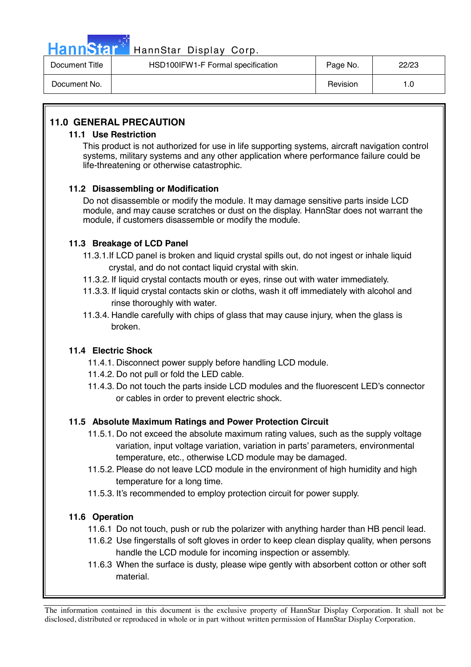

## HannStar<sup>47</sup> HannStar Display Corp.

| Document Title | HSD100IFW1-F Formal specification | Page No. | 22/23 |
|----------------|-----------------------------------|----------|-------|
| Document No.   |                                   | Revision | 0. ا  |

#### **11.0 GENERAL PRECAUTION**

#### **11.1 Use Restriction**

This product is not authorized for use in life supporting systems, aircraft navigation control systems, military systems and any other application where performance failure could be life-threatening or otherwise catastrophic.

#### **11.2 Disassembling or Modification**

 Do not disassemble or modify the module. It may damage sensitive parts inside LCD module, and may cause scratches or dust on the display. HannStar does not warrant the module, if customers disassemble or modify the module.

#### **11.3 Breakage of LCD Panel**

- 11.3.1.If LCD panel is broken and liquid crystal spills out, do not ingest or inhale liquid crystal, and do not contact liquid crystal with skin.
- 11.3.2. If liquid crystal contacts mouth or eyes, rinse out with water immediately.
- 11.3.3. If liquid crystal contacts skin or cloths, wash it off immediately with alcohol and rinse thoroughly with water.
- 11.3.4. Handle carefully with chips of glass that may cause injury, when the glass is broken.

#### **11.4 Electric Shock**

- 11.4.1. Disconnect power supply before handling LCD module.
- 11.4.2. Do not pull or fold the LED cable.
- 11.4.3. Do not touch the parts inside LCD modules and the fluorescent LED's connector or cables in order to prevent electric shock.

#### **11.5 Absolute Maximum Ratings and Power Protection Circuit**

- 11.5.1. Do not exceed the absolute maximum rating values, such as the supply voltage variation, input voltage variation, variation in parts' parameters, environmental temperature, etc., otherwise LCD module may be damaged.
- 11.5.2. Please do not leave LCD module in the environment of high humidity and high temperature for a long time.
- 11.5.3. It's recommended to employ protection circuit for power supply.

#### **11.6 Operation**

- 11.6.1 Do not touch, push or rub the polarizer with anything harder than HB pencil lead.
- 11.6.2 Use fingerstalls of soft gloves in order to keep clean display quality, when persons handle the LCD module for incoming inspection or assembly.
- 11.6.3 When the surface is dusty, please wipe gently with absorbent cotton or other soft material.